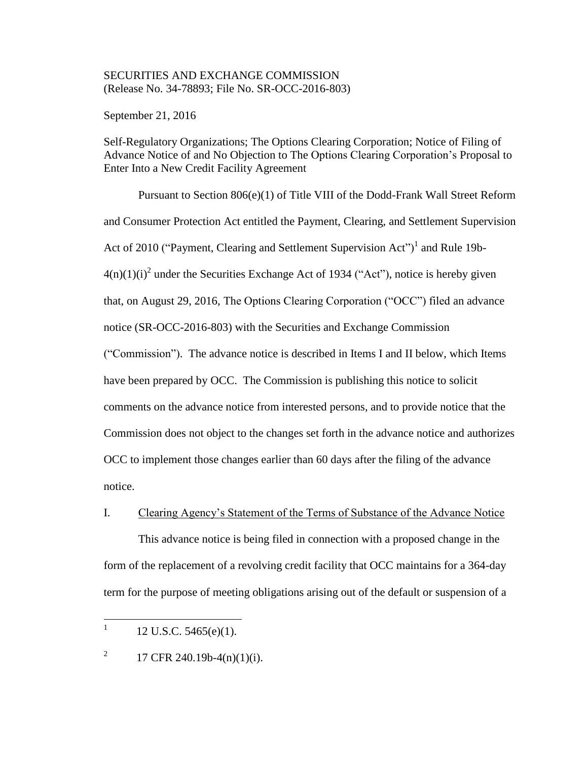# SECURITIES AND EXCHANGE COMMISSION (Release No. 34-78893; File No. SR-OCC-2016-803)

September 21, 2016

Self-Regulatory Organizations; The Options Clearing Corporation; Notice of Filing of Advance Notice of and No Objection to The Options Clearing Corporation's Proposal to Enter Into a New Credit Facility Agreement

Pursuant to Section 806(e)(1) of Title VIII of the Dodd-Frank Wall Street Reform and Consumer Protection Act entitled the Payment, Clearing, and Settlement Supervision Act of 2010 ("Payment, Clearing and Settlement Supervision Act")<sup>1</sup> and Rule 19b- $4(n)(1)(i)^2$  under the Securities Exchange Act of 1934 ("Act"), notice is hereby given that, on August 29, 2016, The Options Clearing Corporation ("OCC") filed an advance notice (SR-OCC-2016-803) with the Securities and Exchange Commission ("Commission"). The advance notice is described in Items I and II below, which Items have been prepared by OCC. The Commission is publishing this notice to solicit comments on the advance notice from interested persons, and to provide notice that the Commission does not object to the changes set forth in the advance notice and authorizes OCC to implement those changes earlier than 60 days after the filing of the advance notice.

# I. Clearing Agency's Statement of the Terms of Substance of the Advance Notice

This advance notice is being filed in connection with a proposed change in the form of the replacement of a revolving credit facility that OCC maintains for a 364-day term for the purpose of meeting obligations arising out of the default or suspension of a

 $\frac{1}{1}$ 12 U.S.C. 5465(e)(1).

<sup>2</sup> 17 CFR 240.19b-4(n)(1)(i).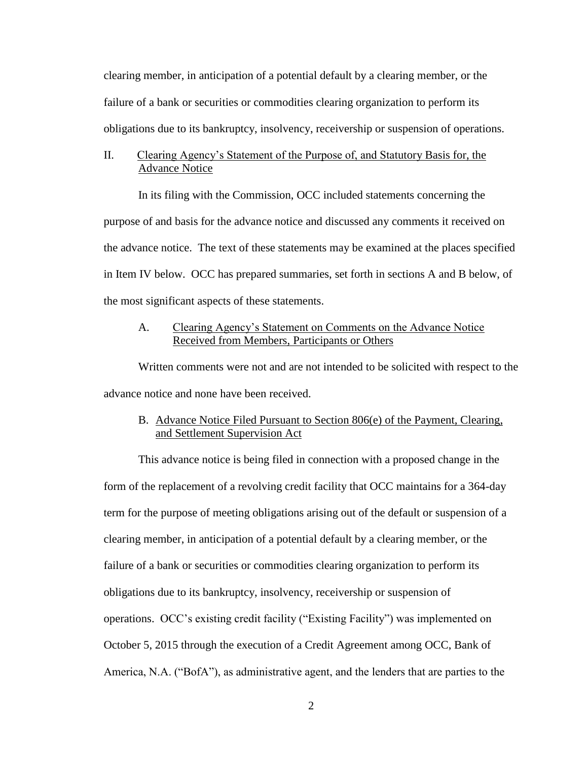clearing member, in anticipation of a potential default by a clearing member, or the failure of a bank or securities or commodities clearing organization to perform its obligations due to its bankruptcy, insolvency, receivership or suspension of operations.

## II. Clearing Agency's Statement of the Purpose of, and Statutory Basis for, the Advance Notice

In its filing with the Commission, OCC included statements concerning the purpose of and basis for the advance notice and discussed any comments it received on the advance notice. The text of these statements may be examined at the places specified in Item IV below. OCC has prepared summaries, set forth in sections A and B below, of the most significant aspects of these statements.

# A. Clearing Agency's Statement on Comments on the Advance Notice Received from Members, Participants or Others

Written comments were not and are not intended to be solicited with respect to the advance notice and none have been received.

# B. Advance Notice Filed Pursuant to Section 806(e) of the Payment, Clearing, and Settlement Supervision Act

This advance notice is being filed in connection with a proposed change in the form of the replacement of a revolving credit facility that OCC maintains for a 364-day term for the purpose of meeting obligations arising out of the default or suspension of a clearing member, in anticipation of a potential default by a clearing member, or the failure of a bank or securities or commodities clearing organization to perform its obligations due to its bankruptcy, insolvency, receivership or suspension of operations. OCC's existing credit facility ("Existing Facility") was implemented on October 5, 2015 through the execution of a Credit Agreement among OCC, Bank of America, N.A. ("BofA"), as administrative agent, and the lenders that are parties to the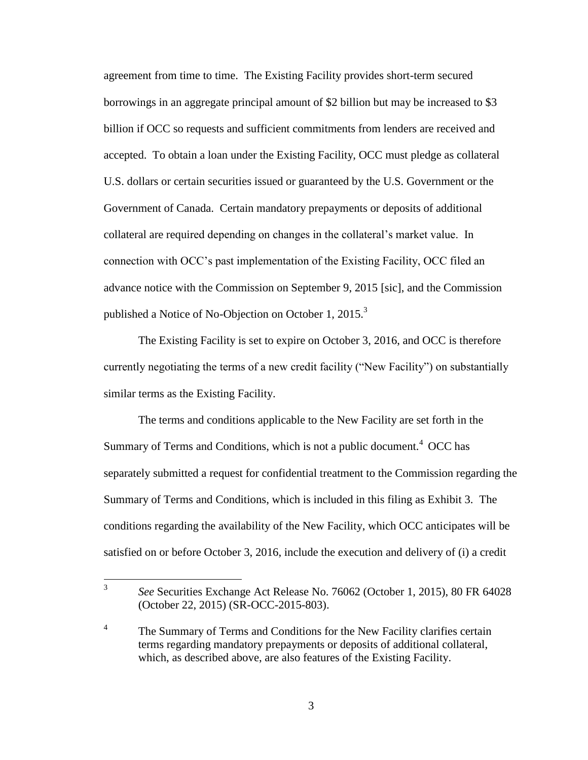agreement from time to time. The Existing Facility provides short-term secured borrowings in an aggregate principal amount of \$2 billion but may be increased to \$3 billion if OCC so requests and sufficient commitments from lenders are received and accepted. To obtain a loan under the Existing Facility, OCC must pledge as collateral U.S. dollars or certain securities issued or guaranteed by the U.S. Government or the Government of Canada. Certain mandatory prepayments or deposits of additional collateral are required depending on changes in the collateral's market value. In connection with OCC's past implementation of the Existing Facility, OCC filed an advance notice with the Commission on September 9, 2015 [sic], and the Commission published a Notice of No-Objection on October 1,  $2015$ <sup>3</sup>

The Existing Facility is set to expire on October 3, 2016, and OCC is therefore currently negotiating the terms of a new credit facility ("New Facility") on substantially similar terms as the Existing Facility.

The terms and conditions applicable to the New Facility are set forth in the Summary of Terms and Conditions, which is not a public document.<sup>4</sup> OCC has separately submitted a request for confidential treatment to the Commission regarding the Summary of Terms and Conditions, which is included in this filing as Exhibit 3. The conditions regarding the availability of the New Facility, which OCC anticipates will be satisfied on or before October 3, 2016, include the execution and delivery of (i) a credit

 $\frac{1}{3}$ *See* Securities Exchange Act Release No. 76062 (October 1, 2015), 80 FR 64028 (October 22, 2015) (SR-OCC-2015-803).

<sup>4</sup> The Summary of Terms and Conditions for the New Facility clarifies certain terms regarding mandatory prepayments or deposits of additional collateral, which, as described above, are also features of the Existing Facility.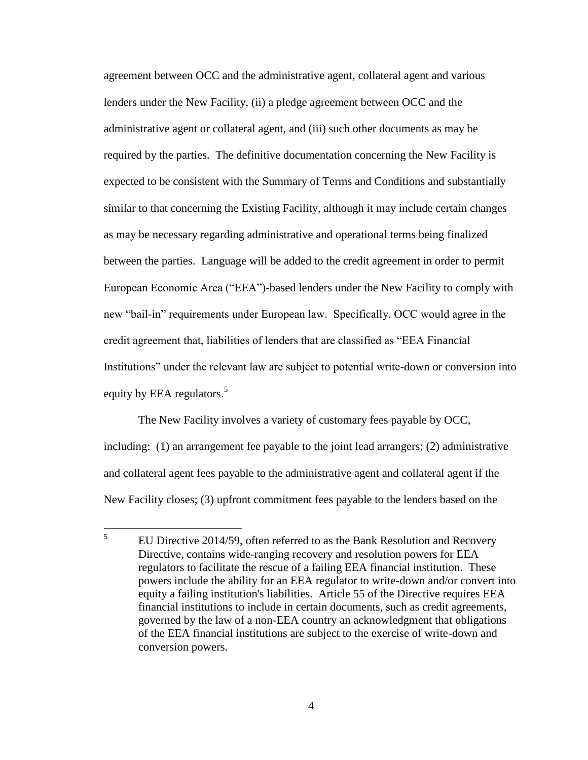agreement between OCC and the administrative agent, collateral agent and various lenders under the New Facility, (ii) a pledge agreement between OCC and the administrative agent or collateral agent, and (iii) such other documents as may be required by the parties. The definitive documentation concerning the New Facility is expected to be consistent with the Summary of Terms and Conditions and substantially similar to that concerning the Existing Facility, although it may include certain changes as may be necessary regarding administrative and operational terms being finalized between the parties. Language will be added to the credit agreement in order to permit European Economic Area ("EEA")-based lenders under the New Facility to comply with new "bail-in" requirements under European law. Specifically, OCC would agree in the credit agreement that, liabilities of lenders that are classified as "EEA Financial Institutions" under the relevant law are subject to potential write-down or conversion into equity by EEA regulators.<sup>5</sup>

The New Facility involves a variety of customary fees payable by OCC, including: (1) an arrangement fee payable to the joint lead arrangers; (2) administrative and collateral agent fees payable to the administrative agent and collateral agent if the New Facility closes; (3) upfront commitment fees payable to the lenders based on the

 5 EU Directive 2014/59, often referred to as the Bank Resolution and Recovery Directive, contains wide-ranging recovery and resolution powers for EEA regulators to facilitate the rescue of a failing EEA financial institution. These powers include the ability for an EEA regulator to write-down and/or convert into equity a failing institution's liabilities. Article 55 of the Directive requires EEA financial institutions to include in certain documents, such as credit agreements, governed by the law of a non-EEA country an acknowledgment that obligations of the EEA financial institutions are subject to the exercise of write-down and conversion powers.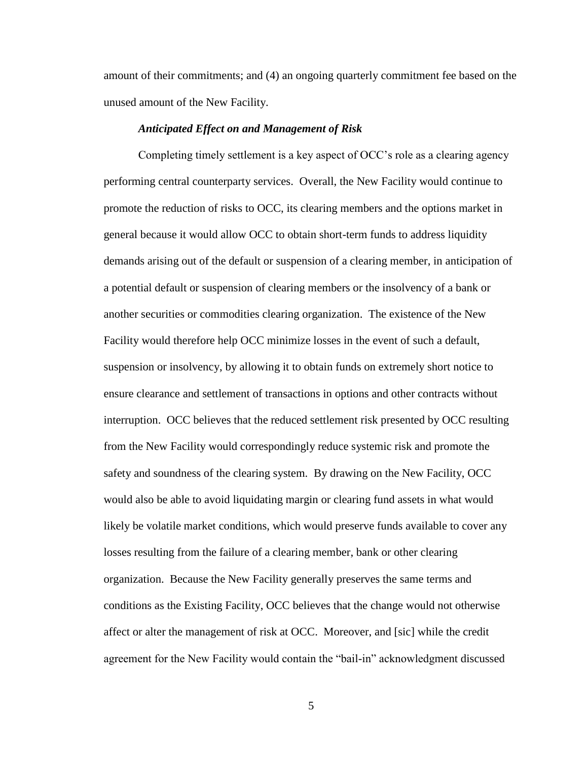amount of their commitments; and (4) an ongoing quarterly commitment fee based on the unused amount of the New Facility.

#### *Anticipated Effect on and Management of Risk*

Completing timely settlement is a key aspect of OCC's role as a clearing agency performing central counterparty services. Overall, the New Facility would continue to promote the reduction of risks to OCC, its clearing members and the options market in general because it would allow OCC to obtain short-term funds to address liquidity demands arising out of the default or suspension of a clearing member, in anticipation of a potential default or suspension of clearing members or the insolvency of a bank or another securities or commodities clearing organization. The existence of the New Facility would therefore help OCC minimize losses in the event of such a default, suspension or insolvency, by allowing it to obtain funds on extremely short notice to ensure clearance and settlement of transactions in options and other contracts without interruption. OCC believes that the reduced settlement risk presented by OCC resulting from the New Facility would correspondingly reduce systemic risk and promote the safety and soundness of the clearing system. By drawing on the New Facility, OCC would also be able to avoid liquidating margin or clearing fund assets in what would likely be volatile market conditions, which would preserve funds available to cover any losses resulting from the failure of a clearing member, bank or other clearing organization. Because the New Facility generally preserves the same terms and conditions as the Existing Facility, OCC believes that the change would not otherwise affect or alter the management of risk at OCC. Moreover, and [sic] while the credit agreement for the New Facility would contain the "bail-in" acknowledgment discussed

5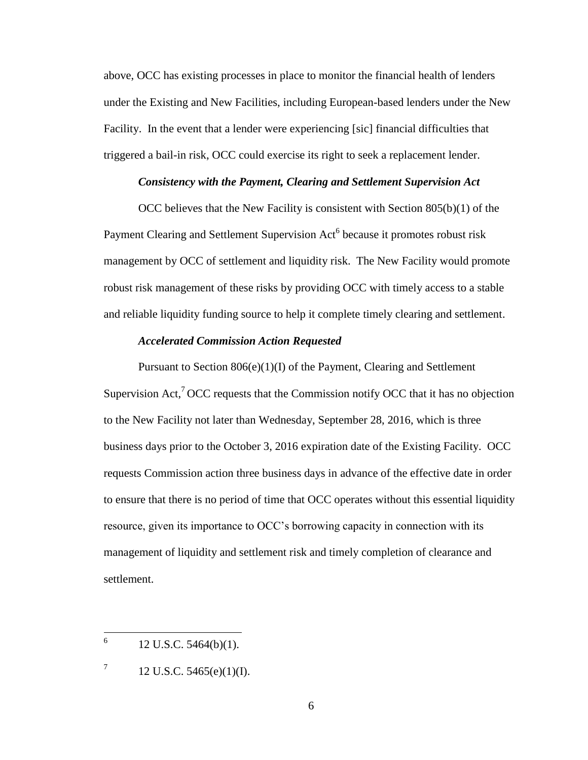above, OCC has existing processes in place to monitor the financial health of lenders under the Existing and New Facilities, including European-based lenders under the New Facility. In the event that a lender were experiencing [sic] financial difficulties that triggered a bail-in risk, OCC could exercise its right to seek a replacement lender.

## *Consistency with the Payment, Clearing and Settlement Supervision Act*

OCC believes that the New Facility is consistent with Section 805(b)(1) of the Payment Clearing and Settlement Supervision Act<sup>6</sup> because it promotes robust risk management by OCC of settlement and liquidity risk. The New Facility would promote robust risk management of these risks by providing OCC with timely access to a stable and reliable liquidity funding source to help it complete timely clearing and settlement.

## *Accelerated Commission Action Requested*

Pursuant to Section 806(e)(1)(I) of the Payment, Clearing and Settlement Supervision Act,<sup>7</sup> OCC requests that the Commission notify OCC that it has no objection to the New Facility not later than Wednesday, September 28, 2016, which is three business days prior to the October 3, 2016 expiration date of the Existing Facility. OCC requests Commission action three business days in advance of the effective date in order to ensure that there is no period of time that OCC operates without this essential liquidity resource, given its importance to OCC's borrowing capacity in connection with its management of liquidity and settlement risk and timely completion of clearance and settlement.

 6 12 U.S.C. 5464(b)(1).

<sup>7</sup> 12 U.S.C. 5465(e)(1)(I).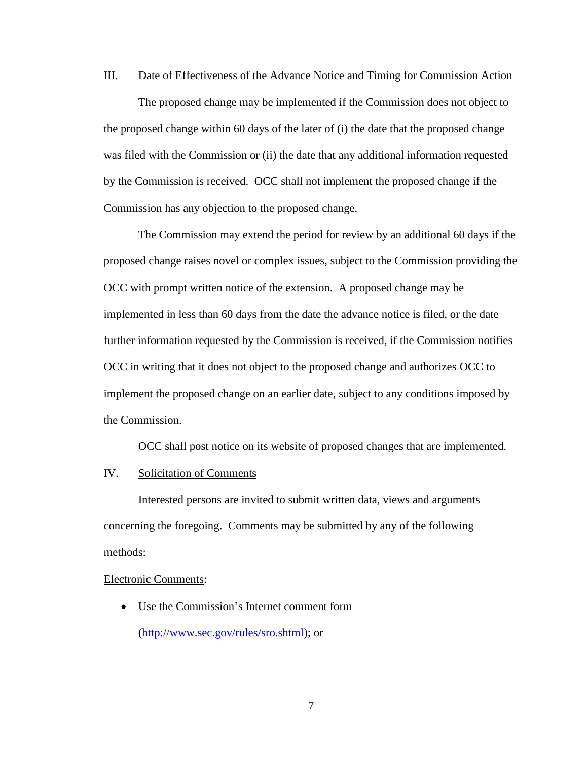## III. Date of Effectiveness of the Advance Notice and Timing for Commission Action

The proposed change may be implemented if the Commission does not object to the proposed change within 60 days of the later of (i) the date that the proposed change was filed with the Commission or (ii) the date that any additional information requested by the Commission is received. OCC shall not implement the proposed change if the Commission has any objection to the proposed change.

The Commission may extend the period for review by an additional 60 days if the proposed change raises novel or complex issues, subject to the Commission providing the OCC with prompt written notice of the extension. A proposed change may be implemented in less than 60 days from the date the advance notice is filed, or the date further information requested by the Commission is received, if the Commission notifies OCC in writing that it does not object to the proposed change and authorizes OCC to implement the proposed change on an earlier date, subject to any conditions imposed by the Commission.

OCC shall post notice on its website of proposed changes that are implemented.

#### IV. Solicitation of Comments

Interested persons are invited to submit written data, views and arguments concerning the foregoing. Comments may be submitted by any of the following methods:

#### Electronic Comments:

 Use the Commission's Internet comment form (http://www.sec.gov/rules/sro.shtml); or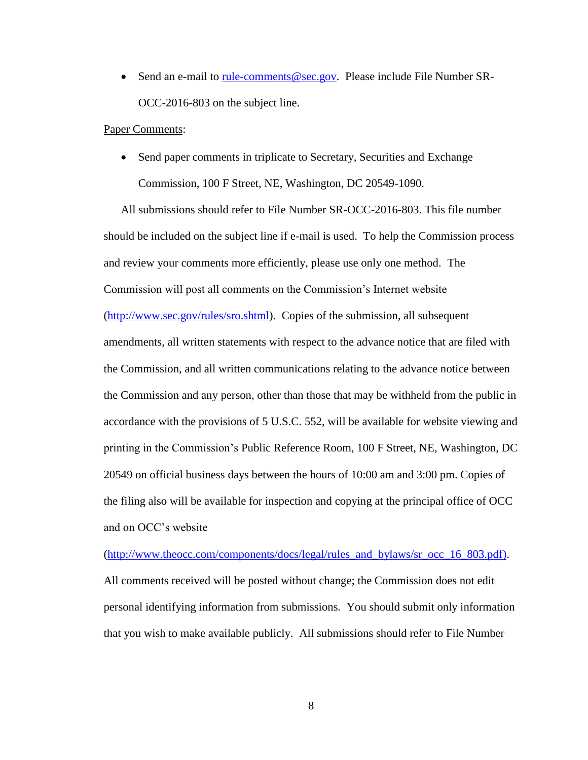• Send an e-mail to rule-comments@sec.gov. Please include File Number SR-OCC-2016-803 on the subject line.

#### Paper Comments:

• Send paper comments in triplicate to Secretary, Securities and Exchange Commission, 100 F Street, NE, Washington, DC 20549-1090.

All submissions should refer to File Number SR-OCC-2016-803. This file number should be included on the subject line if e-mail is used. To help the Commission process and review your comments more efficiently, please use only one method. The Commission will post all comments on the Commission's Internet website (http://www.sec.gov/rules/sro.shtml). Copies of the submission, all subsequent amendments, all written statements with respect to the advance notice that are filed with the Commission, and all written communications relating to the advance notice between the Commission and any person, other than those that may be withheld from the public in accordance with the provisions of 5 U.S.C. 552, will be available for website viewing and printing in the Commission's Public Reference Room, 100 F Street, NE, Washington, DC 20549 on official business days between the hours of 10:00 am and 3:00 pm. Copies of the filing also will be available for inspection and copying at the principal office of OCC and on OCC's website

(http://www.theocc.com/components/docs/legal/rules\_and\_bylaws/sr\_occ\_16\_803.pdf). All comments received will be posted without change; the Commission does not edit personal identifying information from submissions. You should submit only information that you wish to make available publicly. All submissions should refer to File Number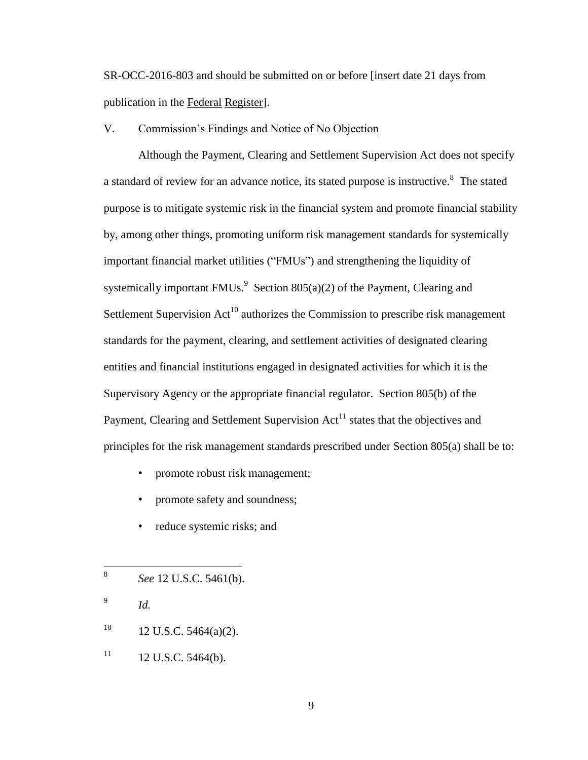SR-OCC-2016-803 and should be submitted on or before [insert date 21 days from publication in the Federal Register].

## V. Commission's Findings and Notice of No Objection

Although the Payment, Clearing and Settlement Supervision Act does not specify a standard of review for an advance notice, its stated purpose is instructive.<sup>8</sup> The stated purpose is to mitigate systemic risk in the financial system and promote financial stability by, among other things, promoting uniform risk management standards for systemically important financial market utilities ("FMUs") and strengthening the liquidity of systemically important  $FMUs.<sup>9</sup>$  Section 805(a)(2) of the Payment, Clearing and Settlement Supervision  $Act^{10}$  authorizes the Commission to prescribe risk management standards for the payment, clearing, and settlement activities of designated clearing entities and financial institutions engaged in designated activities for which it is the Supervisory Agency or the appropriate financial regulator. Section 805(b) of the Payment, Clearing and Settlement Supervision  $Act<sup>11</sup>$  states that the objectives and principles for the risk management standards prescribed under Section 805(a) shall be to:

- promote robust risk management;
- promote safety and soundness;
- reduce systemic risks; and

- 9 *Id.*
- $10$  12 U.S.C. 5464(a)(2).
- $11 \t12$  U.S.C. 5464(b).

 8 *See* 12 U.S.C. 5461(b).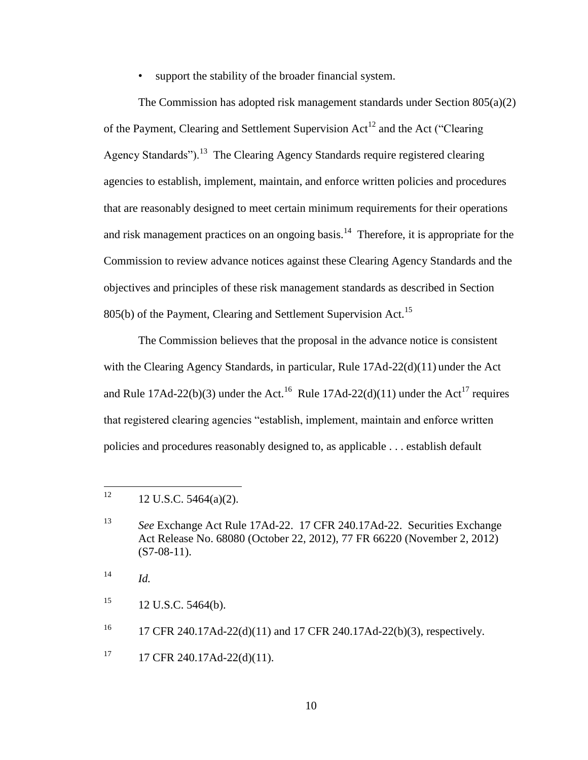support the stability of the broader financial system.

The Commission has adopted risk management standards under Section 805(a)(2) of the Payment, Clearing and Settlement Supervision  $Act^{12}$  and the Act ("Clearing Agency Standards").<sup>13</sup> The Clearing Agency Standards require registered clearing agencies to establish, implement, maintain, and enforce written policies and procedures that are reasonably designed to meet certain minimum requirements for their operations and risk management practices on an ongoing basis.<sup>14</sup> Therefore, it is appropriate for the Commission to review advance notices against these Clearing Agency Standards and the objectives and principles of these risk management standards as described in Section 805(b) of the Payment, Clearing and Settlement Supervision Act.<sup>15</sup>

The Commission believes that the proposal in the advance notice is consistent with the Clearing Agency Standards, in particular, Rule 17Ad-22(d)(11) under the Act and Rule 17Ad-22(b)(3) under the Act.<sup>16</sup> Rule 17Ad-22(d)(11) under the Act<sup>17</sup> requires that registered clearing agencies "establish, implement, maintain and enforce written policies and procedures reasonably designed to, as applicable . . . establish default

 $15$  12 U.S.C. 5464(b).

 $17$  17 CFR 240.17Ad-22(d)(11).

<sup>12</sup> <sup>12</sup> 12 U.S.C. 5464(a)(2).

<sup>13</sup> *See* Exchange Act Rule 17Ad-22. 17 CFR 240.17Ad-22. Securities Exchange Act Release No. 68080 (October 22, 2012), 77 FR 66220 (November 2, 2012)  $(S7-08-11)$ .

 $14$  *Id.* 

<sup>&</sup>lt;sup>16</sup> 17 CFR 240.17Ad-22(d)(11) and 17 CFR 240.17Ad-22(b)(3), respectively.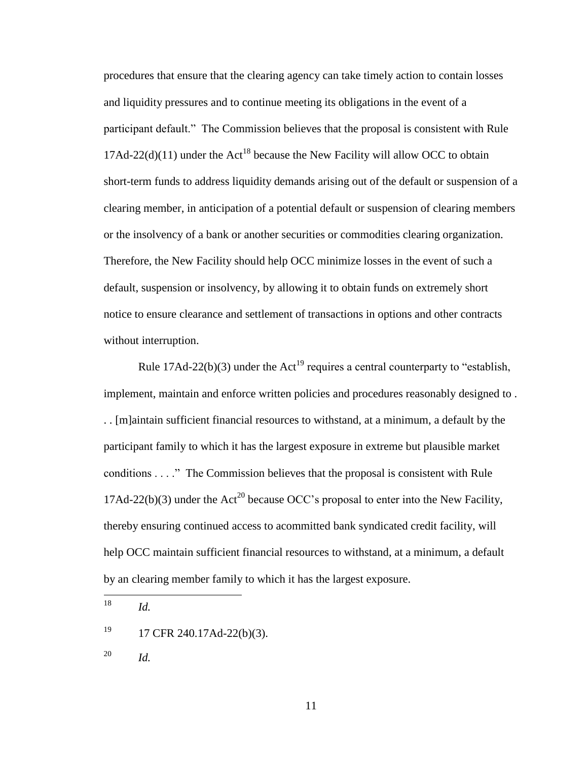procedures that ensure that the clearing agency can take timely action to contain losses and liquidity pressures and to continue meeting its obligations in the event of a participant default." The Commission believes that the proposal is consistent with Rule 17Ad-22(d)(11) under the Act<sup>18</sup> because the New Facility will allow OCC to obtain short-term funds to address liquidity demands arising out of the default or suspension of a clearing member, in anticipation of a potential default or suspension of clearing members or the insolvency of a bank or another securities or commodities clearing organization. Therefore, the New Facility should help OCC minimize losses in the event of such a default, suspension or insolvency, by allowing it to obtain funds on extremely short notice to ensure clearance and settlement of transactions in options and other contracts without interruption.

Rule 17Ad-22(b)(3) under the Act<sup>19</sup> requires a central counterparty to "establish, implement, maintain and enforce written policies and procedures reasonably designed to . . . [m]aintain sufficient financial resources to withstand, at a minimum, a default by the participant family to which it has the largest exposure in extreme but plausible market conditions . . . ." The Commission believes that the proposal is consistent with Rule 17Ad-22(b)(3) under the Act<sup>20</sup> because OCC's proposal to enter into the New Facility, thereby ensuring continued access to acommitted bank syndicated credit facility, will help OCC maintain sufficient financial resources to withstand, at a minimum, a default by an clearing member family to which it has the largest exposure.

18 *Id.* 

<sup>20</sup> *Id.*

 $19$  17 CFR 240.17Ad-22(b)(3).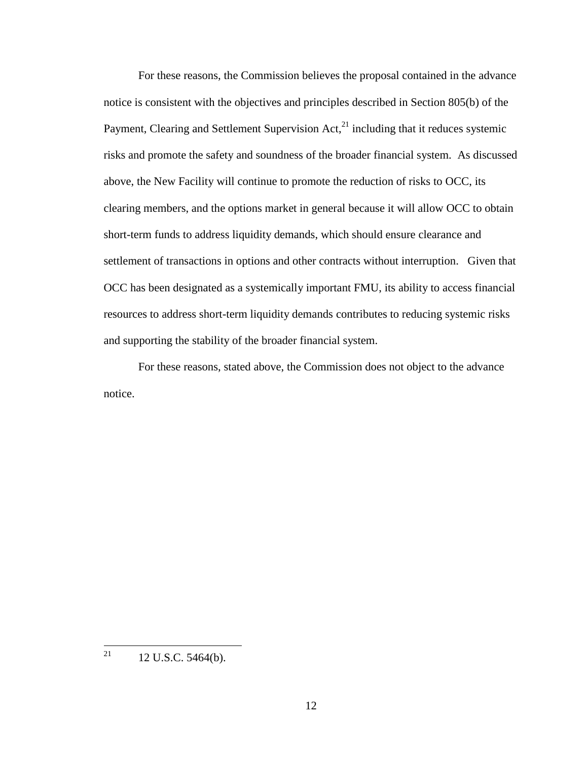For these reasons, the Commission believes the proposal contained in the advance notice is consistent with the objectives and principles described in Section 805(b) of the Payment, Clearing and Settlement Supervision  $Act<sub>1</sub><sup>21</sup>$  including that it reduces systemic risks and promote the safety and soundness of the broader financial system. As discussed above, the New Facility will continue to promote the reduction of risks to OCC, its clearing members, and the options market in general because it will allow OCC to obtain short-term funds to address liquidity demands, which should ensure clearance and settlement of transactions in options and other contracts without interruption. Given that OCC has been designated as a systemically important FMU, its ability to access financial resources to address short-term liquidity demands contributes to reducing systemic risks and supporting the stability of the broader financial system.

For these reasons, stated above, the Commission does not object to the advance notice.

<sup>21</sup> 12 U.S.C. 5464(b).